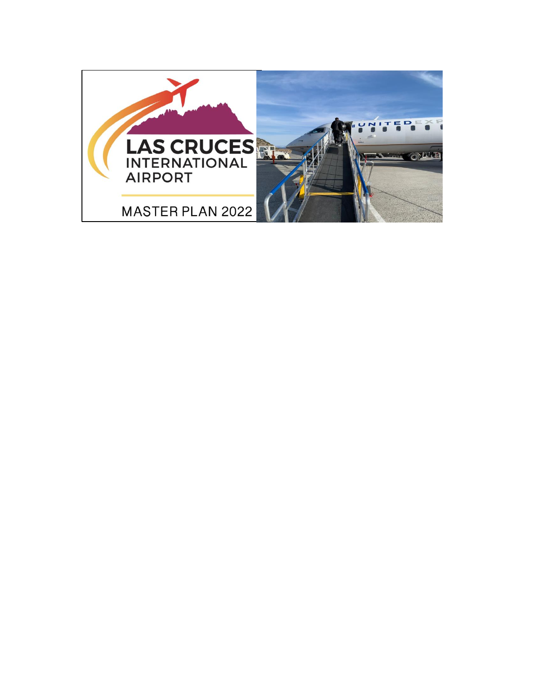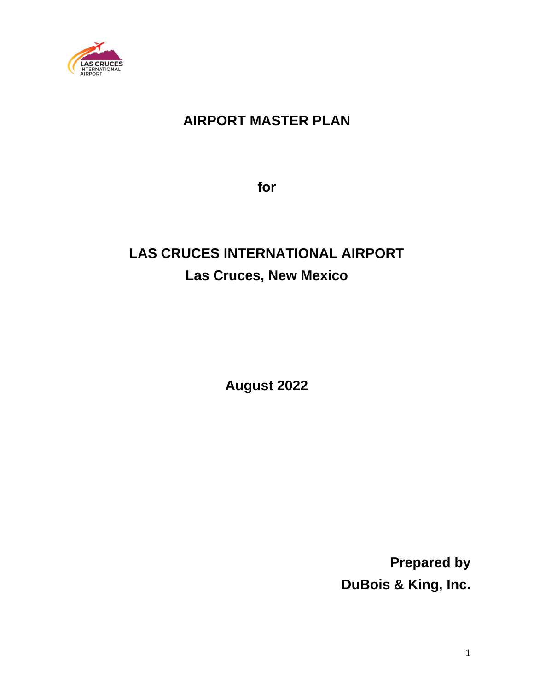

## **AIRPORT MASTER PLAN**

**for**

# **LAS CRUCES INTERNATIONAL AIRPORT Las Cruces, New Mexico**

**August 2022**

**Prepared by DuBois & King, Inc.**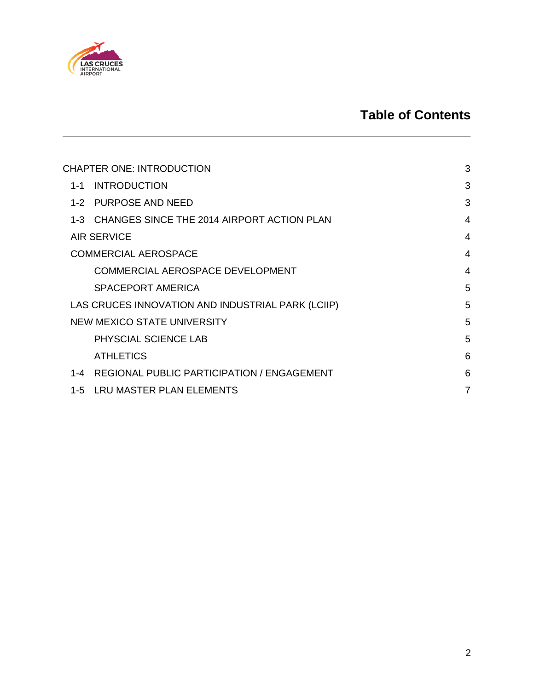

## **Table of Contents**

| <b>CHAPTER ONE: INTRODUCTION</b>                  | 3 |
|---------------------------------------------------|---|
| <b>INTRODUCTION</b><br>$1 - 1$                    | 3 |
| <b>PURPOSE AND NEED</b><br>$1 - 2$                | 3 |
| 1-3 CHANGES SINCE THE 2014 AIRPORT ACTION PLAN    | 4 |
| <b>AIR SERVICE</b>                                | 4 |
| <b>COMMERCIAL AEROSPACE</b>                       | 4 |
| COMMERCIAL AEROSPACE DEVELOPMENT                  | 4 |
| SPACEPORT AMERICA                                 | 5 |
| LAS CRUCES INNOVATION AND INDUSTRIAL PARK (LCIIP) | 5 |
| NEW MEXICO STATE UNIVERSITY                       | 5 |
| PHYSCIAL SCIENCE LAB                              | 5 |
| <b>ATHLETICS</b>                                  | 6 |
| REGIONAL PUBLIC PARTICIPATION / ENGAGEMENT<br>1-4 | 6 |
| 1-5 LRU MASTER PLAN ELEMENTS                      | 7 |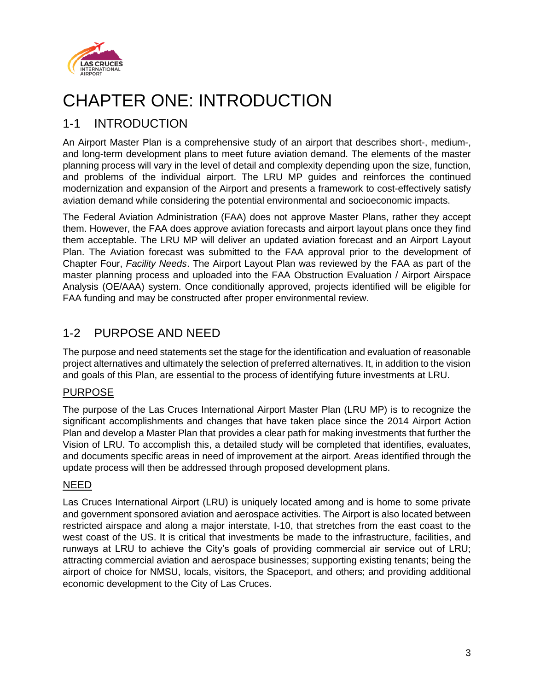

# <span id="page-3-0"></span>CHAPTER ONE: INTRODUCTION

### <span id="page-3-1"></span>1-1 INTRODUCTION

An Airport Master Plan is a comprehensive study of an airport that describes short-, medium-, and long-term development plans to meet future aviation demand. The elements of the master planning process will vary in the level of detail and complexity depending upon the size, function, and problems of the individual airport. The LRU MP guides and reinforces the continued modernization and expansion of the Airport and presents a framework to cost-effectively satisfy aviation demand while considering the potential environmental and socioeconomic impacts.

The Federal Aviation Administration (FAA) does not approve Master Plans, rather they accept them. However, the FAA does approve aviation forecasts and airport layout plans once they find them acceptable. The LRU MP will deliver an updated aviation forecast and an Airport Layout Plan. The Aviation forecast was submitted to the FAA approval prior to the development of Chapter Four, *Facility Needs*. The Airport Layout Plan was reviewed by the FAA as part of the master planning process and uploaded into the FAA Obstruction Evaluation / Airport Airspace Analysis (OE/AAA) system. Once conditionally approved, projects identified will be eligible for FAA funding and may be constructed after proper environmental review.

## <span id="page-3-2"></span>1-2 PURPOSE AND NEED

The purpose and need statements set the stage for the identification and evaluation of reasonable project alternatives and ultimately the selection of preferred alternatives. It, in addition to the vision and goals of this Plan, are essential to the process of identifying future investments at LRU.

#### PURPOSE

The purpose of the Las Cruces International Airport Master Plan (LRU MP) is to recognize the significant accomplishments and changes that have taken place since the 2014 Airport Action Plan and develop a Master Plan that provides a clear path for making investments that further the Vision of LRU. To accomplish this, a detailed study will be completed that identifies, evaluates, and documents specific areas in need of improvement at the airport. Areas identified through the update process will then be addressed through proposed development plans.

#### NEED

Las Cruces International Airport (LRU) is uniquely located among and is home to some private and government sponsored aviation and aerospace activities. The Airport is also located between restricted airspace and along a major interstate, I-10, that stretches from the east coast to the west coast of the US. It is critical that investments be made to the infrastructure, facilities, and runways at LRU to achieve the City's goals of providing commercial air service out of LRU; attracting commercial aviation and aerospace businesses; supporting existing tenants; being the airport of choice for NMSU, locals, visitors, the Spaceport, and others; and providing additional economic development to the City of Las Cruces.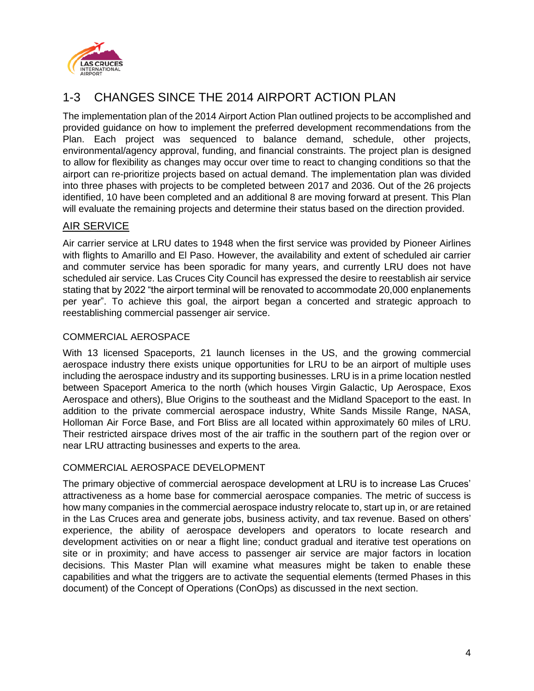

## <span id="page-4-0"></span>1-3 CHANGES SINCE THE 2014 AIRPORT ACTION PLAN

The implementation plan of the 2014 Airport Action Plan outlined projects to be accomplished and provided guidance on how to implement the preferred development recommendations from the Plan. Each project was sequenced to balance demand, schedule, other projects, environmental/agency approval, funding, and financial constraints. The project plan is designed to allow for flexibility as changes may occur over time to react to changing conditions so that the airport can re-prioritize projects based on actual demand. The implementation plan was divided into three phases with projects to be completed between 2017 and 2036. Out of the 26 projects identified, 10 have been completed and an additional 8 are moving forward at present. This Plan will evaluate the remaining projects and determine their status based on the direction provided.

#### <span id="page-4-1"></span>AIR SERVICE

Air carrier service at LRU dates to 1948 when the first service was provided by Pioneer Airlines with flights to Amarillo and El Paso. However, the availability and extent of scheduled air carrier and commuter service has been sporadic for many years, and currently LRU does not have scheduled air service. Las Cruces City Council has expressed the desire to reestablish air service stating that by 2022 "the airport terminal will be renovated to accommodate 20,000 enplanements per year". To achieve this goal, the airport began a concerted and strategic approach to reestablishing commercial passenger air service.

#### <span id="page-4-2"></span>COMMERCIAL AEROSPACE

With 13 licensed Spaceports, 21 launch licenses in the US, and the growing commercial aerospace industry there exists unique opportunities for LRU to be an airport of multiple uses including the aerospace industry and its supporting businesses. LRU is in a prime location nestled between Spaceport America to the north (which houses Virgin Galactic, Up Aerospace, Exos Aerospace and others), Blue Origins to the southeast and the Midland Spaceport to the east. In addition to the private commercial aerospace industry, White Sands Missile Range, NASA, Holloman Air Force Base, and Fort Bliss are all located within approximately 60 miles of LRU. Their restricted airspace drives most of the air traffic in the southern part of the region over or near LRU attracting businesses and experts to the area.

#### <span id="page-4-3"></span>COMMERCIAL AEROSPACE DEVELOPMENT

The primary objective of commercial aerospace development at LRU is to increase Las Cruces' attractiveness as a home base for commercial aerospace companies. The metric of success is how many companies in the commercial aerospace industry relocate to, start up in, or are retained in the Las Cruces area and generate jobs, business activity, and tax revenue. Based on others' experience, the ability of aerospace developers and operators to locate research and development activities on or near a flight line; conduct gradual and iterative test operations on site or in proximity; and have access to passenger air service are major factors in location decisions. This Master Plan will examine what measures might be taken to enable these capabilities and what the triggers are to activate the sequential elements (termed Phases in this document) of the Concept of Operations (ConOps) as discussed in the next section.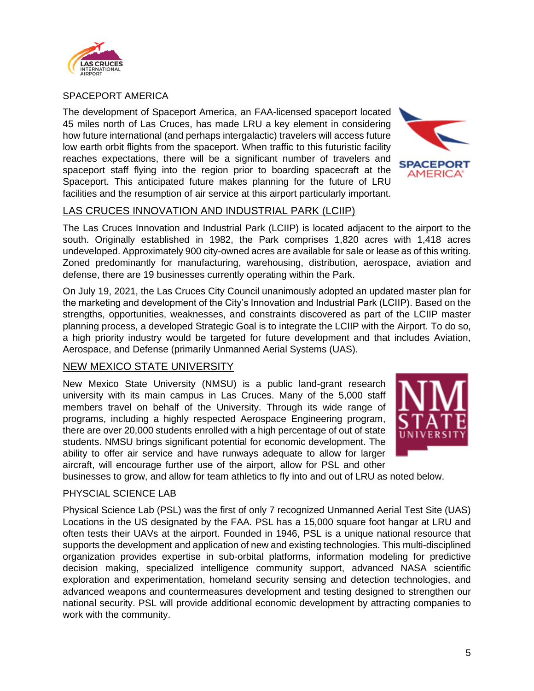

<span id="page-5-0"></span>SPACEPORT AMERICA

The development of Spaceport America, an FAA-licensed spaceport located 45 miles north of Las Cruces, has made LRU a key element in considering how future international (and perhaps intergalactic) travelers will access future low earth orbit flights from the spaceport. When traffic to this futuristic facility reaches expectations, there will be a significant number of travelers and spaceport staff flying into the region prior to boarding spacecraft at the Spaceport. This anticipated future makes planning for the future of LRU facilities and the resumption of air service at this airport particularly important.



#### <span id="page-5-1"></span>LAS CRUCES INNOVATION AND INDUSTRIAL PARK (LCIIP)

The Las Cruces Innovation and Industrial Park (LCIIP) is located adjacent to the airport to the south. Originally established in 1982, the Park comprises 1,820 acres with 1,418 acres undeveloped. Approximately 900 city-owned acres are available for sale or lease as of this writing. Zoned predominantly for manufacturing, warehousing, distribution, aerospace, aviation and defense, there are 19 businesses currently operating within the Park.

On July 19, 2021, the Las Cruces City Council unanimously adopted an updated master plan for the marketing and development of the City's Innovation and Industrial Park (LCIIP). Based on the strengths, opportunities, weaknesses, and constraints discovered as part of the LCIIP master planning process, a developed Strategic Goal is to integrate the LCIIP with the Airport. To do so, a high priority industry would be targeted for future development and that includes Aviation, Aerospace, and Defense (primarily Unmanned Aerial Systems (UAS).

#### <span id="page-5-2"></span>NEW MEXICO STATE UNIVERSITY

New Mexico State University (NMSU) is a public land-grant research university with its main campus in Las Cruces. Many of the 5,000 staff members travel on behalf of the University. Through its wide range of programs, including a highly respected Aerospace Engineering program, there are over 20,000 students enrolled with a high percentage of out of state students. NMSU brings significant potential for economic development. The ability to offer air service and have runways adequate to allow for larger aircraft, will encourage further use of the airport, allow for PSL and other



businesses to grow, and allow for team athletics to fly into and out of LRU as noted below.

#### <span id="page-5-3"></span>PHYSCIAL SCIENCE LAB

Physical Science Lab (PSL) was the first of only 7 recognized Unmanned Aerial Test Site (UAS) Locations in the US designated by the FAA. PSL has a 15,000 square foot hangar at LRU and often tests their UAVs at the airport. Founded in 1946, PSL is a unique national resource that supports the development and application of new and existing technologies. This multi-disciplined organization provides expertise in sub-orbital platforms, information modeling for predictive decision making, specialized intelligence community support, advanced NASA scientific exploration and experimentation, homeland security sensing and detection technologies, and advanced weapons and countermeasures development and testing designed to strengthen our national security. PSL will provide additional economic development by attracting companies to work with the community.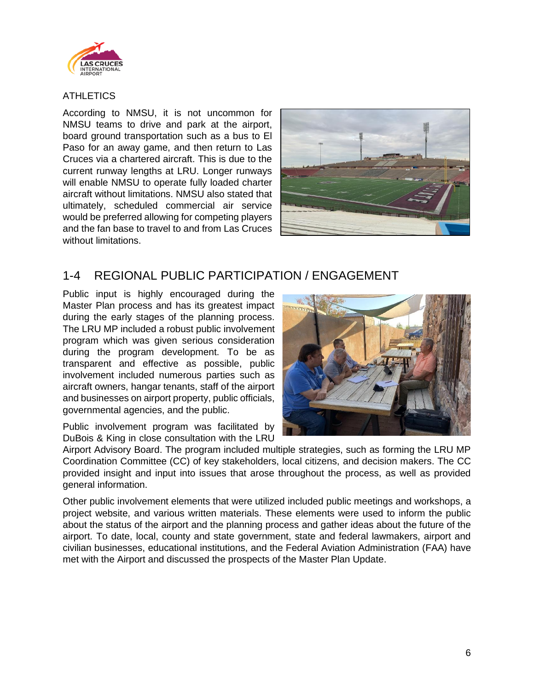

#### <span id="page-6-0"></span>**ATHLETICS**

According to NMSU, it is not uncommon for NMSU teams to drive and park at the airport, board ground transportation such as a bus to El Paso for an away game, and then return to Las Cruces via a chartered aircraft. This is due to the current runway lengths at LRU. Longer runways will enable NMSU to operate fully loaded charter aircraft without limitations. NMSU also stated that ultimately, scheduled commercial air service would be preferred allowing for competing players and the fan base to travel to and from Las Cruces without limitations.



## <span id="page-6-1"></span>1-4 REGIONAL PUBLIC PARTICIPATION / ENGAGEMENT

Public input is highly encouraged during the Master Plan process and has its greatest impact during the early stages of the planning process. The LRU MP included a robust public involvement program which was given serious consideration during the program development. To be as transparent and effective as possible, public involvement included numerous parties such as aircraft owners, hangar tenants, staff of the airport and businesses on airport property, public officials, governmental agencies, and the public.

Public involvement program was facilitated by DuBois & King in close consultation with the LRU



Airport Advisory Board. The program included multiple strategies, such as forming the LRU MP Coordination Committee (CC) of key stakeholders, local citizens, and decision makers. The CC provided insight and input into issues that arose throughout the process, as well as provided general information.

Other public involvement elements that were utilized included public meetings and workshops, a project website, and various written materials. These elements were used to inform the public about the status of the airport and the planning process and gather ideas about the future of the airport. To date, local, county and state government, state and federal lawmakers, airport and civilian businesses, educational institutions, and the Federal Aviation Administration (FAA) have met with the Airport and discussed the prospects of the Master Plan Update.